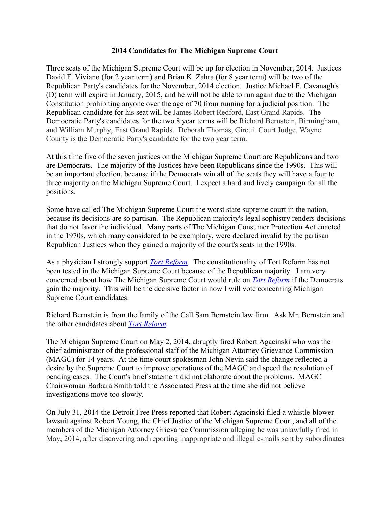#### **2014 Candidates for The Michigan Supreme Court**

Three seats of the Michigan Supreme Court will be up for election in November, 2014. Justices David F. Viviano (for 2 year term) and Brian K. Zahra (for 8 year term) will be two of the Republican Party's candidates for the November, 2014 election. Justice Michael F. Cavanagh's (D) term will expire in January, 2015, and he will not be able to run again due to the Michigan Constitution prohibiting anyone over the age of 70 from running for a judicial position. The Republican candidate for his seat will be James Robert Redford, East Grand Rapids. The Democratic Party's candidates for the two 8 year terms will be Richard Bernstein, Birmingham, and William Murphy, East Grand Rapids. Deborah Thomas, Circuit Court Judge, Wayne County is the Democratic Party's candidate for the two year term.

At this time five of the seven justices on the Michigan Supreme Court are Republicans and two are Democrats. The majority of the Justices have been Republicans since the 1990s. This will be an important election, because if the Democrats win all of the seats they will have a four to three majority on the Michigan Supreme Court. I expect a hard and lively campaign for all the positions.

Some have called The Michigan Supreme Court the worst state supreme court in the nation, because its decisions are so partisan. The Republican majority's legal sophistry renders decisions that do not favor the individual. Many parts of The Michigan Consumer Protection Act enacted in the 1970s, which many considered to be exemplary, were declared invalid by the partisan Republican Justices when they gained a majority of the court's seats in the 1990s.

As a physician I strongly support *[Tort Reform.](http://www.tagolden.com/Preserve%20Tort%20Reform.pdf)* The constitutionality of Tort Reform has not been tested in the Michigan Supreme Court because of the Republican majority. I am very concerned about how The Michigan Supreme Court would rule on *[Tort Reform](http://www.tagolden.com/Preserve%20Tort%20Reform.pdf)* if the Democrats gain the majority.This will be the decisive factor in how I will vote concerning Michigan Supreme Court candidates.

Richard Bernstein is from the family of the Call Sam Bernstein law firm. Ask Mr. Bernstein and the other candidates about *[Tort Reform.](http://www.tagolden.com/Preserve%20Tort%20Reform.pdf)* 

The Michigan Supreme Court on May 2, 2014, abruptly fired Robert Agacinski who was the chief administrator of the professional staff of the Michigan Attorney Grievance Commission (MAGC) for 14 years. At the time court spokesman John Nevin said the change reflected a desire by the Supreme Court to improve operations of the MAGC and speed the resolution of pending cases. The Court's brief statement did not elaborate about the problems. MAGC Chairwoman Barbara Smith told the Associated Press at the time she did not believe investigations move too slowly.

On July 31, 2014 the Detroit Free Press reported that Robert Agacinski filed a whistle-blower lawsuit against Robert Young, the Chief Justice of the Michigan Supreme Court, and all of the members of the Michigan Attorney Grievance Commission alleging he was unlawfully fired in May, 2014, after discovering and reporting inappropriate and illegal e-mails sent by subordinates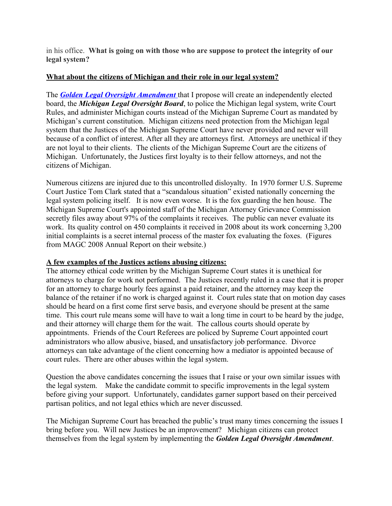in his office. **What is going on with those who are suppose to protect the integrity of our legal system?**

### **What about the citizens of Michigan and their role in our legal system?**

The *[Golden Legal Oversight Amendment](http://www.tagolden.com/changemiconstitution.pdf)* that I propose will create an independently elected board, the *Michigan Legal Oversight Board*, to police the Michigan legal system, write Court Rules, and administer Michigan courts instead of the Michigan Supreme Court as mandated by Michigan's current constitution. Michigan citizens need protection from the Michigan legal system that the Justices of the Michigan Supreme Court have never provided and never will because of a conflict of interest. After all they are attorneys first. Attorneys are unethical if they are not loyal to their clients. The clients of the Michigan Supreme Court are the citizens of Michigan. Unfortunately, the Justices first loyalty is to their fellow attorneys, and not the citizens of Michigan.

Numerous citizens are injured due to this uncontrolled disloyalty. In 1970 former U.S. Supreme Court Justice Tom Clark stated that a "scandalous situation" existed nationally concerning the legal system policing itself. It is now even worse. It is the fox guarding the hen house. The Michigan Supreme Court's appointed staff of the Michigan Attorney Grievance Commission secretly files away about 97% of the complaints it receives. The public can never evaluate its work. Its quality control on 450 complaints it received in 2008 about its work concerning 3,200 initial complaints is a secret internal process of the master fox evaluating the foxes. (Figures from MAGC 2008 Annual Report on their website.)

# **A few examples of the Justices actions abusing citizens:**

The attorney ethical code written by the Michigan Supreme Court states it is unethical for attorneys to charge for work not performed. The Justices recently ruled in a case that it is proper for an attorney to charge hourly fees against a paid retainer, and the attorney may keep the balance of the retainer if no work is charged against it. Court rules state that on motion day cases should be heard on a first come first serve basis, and everyone should be present at the same time. This court rule means some will have to wait a long time in court to be heard by the judge, and their attorney will charge them for the wait. The callous courts should operate by appointments. Friends of the Court Referees are policed by Supreme Court appointed court administrators who allow abusive, biased, and unsatisfactory job performance. Divorce attorneys can take advantage of the client concerning how a mediator is appointed because of court rules. There are other abuses within the legal system.

Question the above candidates concerning the issues that I raise or your own similar issues with the legal system. Make the candidate commit to specific improvements in the legal system before giving your support. Unfortunately, candidates garner support based on their perceived partisan politics, and not legal ethics which are never discussed.

The Michigan Supreme Court has breached the public's trust many times concerning the issues I bring before you. Will new Justices be an improvement? Michigan citizens can protect themselves from the legal system by implementing the *Golden Legal Oversight Amendment*.